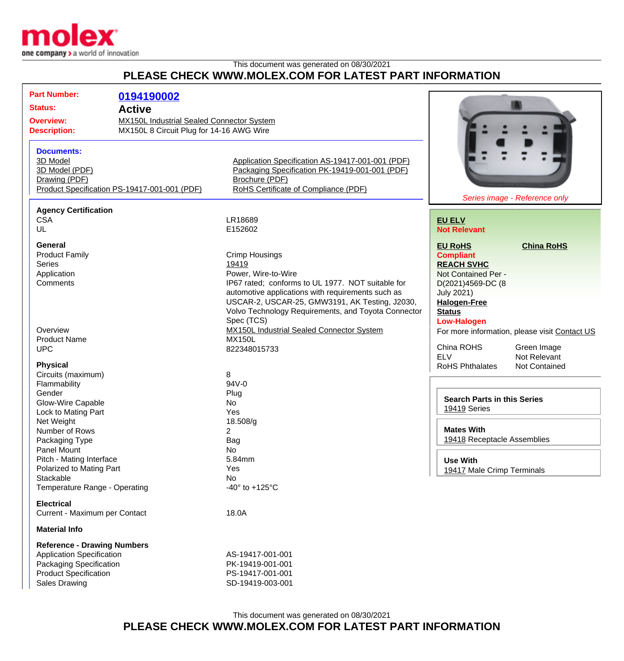

## This document was generated on 08/30/2021 **PLEASE CHECK WWW.MOLEX.COM FOR LATEST PART INFORMATION**

| <b>Part Number:</b>                |                                                  |                                                     |                                    |                                               |
|------------------------------------|--------------------------------------------------|-----------------------------------------------------|------------------------------------|-----------------------------------------------|
|                                    | 0194190002                                       |                                                     |                                    |                                               |
| <b>Status:</b>                     | <b>Active</b>                                    |                                                     |                                    |                                               |
| <b>Overview:</b>                   | <b>MX150L Industrial Sealed Connector System</b> |                                                     |                                    |                                               |
| <b>Description:</b>                | MX150L 8 Circuit Plug for 14-16 AWG Wire         |                                                     |                                    |                                               |
|                                    |                                                  |                                                     |                                    |                                               |
| <b>Documents:</b>                  |                                                  |                                                     |                                    |                                               |
| 3D Model                           |                                                  |                                                     |                                    |                                               |
|                                    |                                                  | Application Specification AS-19417-001-001 (PDF)    |                                    |                                               |
| 3D Model (PDF)                     |                                                  | Packaging Specification PK-19419-001-001 (PDF)      |                                    |                                               |
| Drawing (PDF)                      |                                                  | Brochure (PDF)                                      |                                    |                                               |
|                                    | Product Specification PS-19417-001-001 (PDF)     | RoHS Certificate of Compliance (PDF)                |                                    |                                               |
|                                    |                                                  |                                                     |                                    | Series image - Reference only                 |
| <b>Agency Certification</b>        |                                                  |                                                     |                                    |                                               |
| <b>CSA</b>                         |                                                  | LR18689                                             | <b>EU ELV</b>                      |                                               |
| UL                                 |                                                  | E152602                                             | <b>Not Relevant</b>                |                                               |
| General                            |                                                  |                                                     |                                    |                                               |
|                                    |                                                  |                                                     | <b>EU RoHS</b>                     | <b>China RoHS</b>                             |
| <b>Product Family</b>              |                                                  | <b>Crimp Housings</b>                               | <b>Compliant</b>                   |                                               |
| <b>Series</b>                      |                                                  | 19419                                               | <b>REACH SVHC</b>                  |                                               |
| Application                        |                                                  | Power, Wire-to-Wire                                 | Not Contained Per -                |                                               |
| Comments                           |                                                  | IP67 rated; conforms to UL 1977. NOT suitable for   | D(2021)4569-DC (8                  |                                               |
|                                    |                                                  | automotive applications with requirements such as   | <b>July 2021)</b>                  |                                               |
|                                    |                                                  | USCAR-2, USCAR-25, GMW3191, AK Testing, J2030,      | <b>Halogen-Free</b>                |                                               |
|                                    |                                                  | Volvo Technology Requirements, and Toyota Connector | <b>Status</b>                      |                                               |
|                                    |                                                  | Spec (TCS)                                          | <b>Low-Halogen</b>                 |                                               |
| Overview                           |                                                  | MX150L Industrial Sealed Connector System           |                                    | For more information, please visit Contact US |
| <b>Product Name</b>                |                                                  | <b>MX150L</b>                                       |                                    |                                               |
| <b>UPC</b>                         |                                                  | 822348015733                                        | China ROHS                         | Green Image                                   |
|                                    |                                                  |                                                     | <b>ELV</b>                         | Not Relevant                                  |
| <b>Physical</b>                    |                                                  |                                                     | <b>RoHS Phthalates</b>             | <b>Not Contained</b>                          |
| Circuits (maximum)                 |                                                  | 8                                                   |                                    |                                               |
| Flammability                       |                                                  | 94V-0                                               |                                    |                                               |
| Gender                             |                                                  | Plug                                                | <b>Search Parts in this Series</b> |                                               |
| Glow-Wire Capable                  |                                                  | No                                                  | 19419 Series                       |                                               |
| Lock to Mating Part                |                                                  | Yes                                                 |                                    |                                               |
| Net Weight                         |                                                  | 18.508/g                                            |                                    |                                               |
| Number of Rows                     |                                                  | $\overline{2}$                                      | <b>Mates With</b>                  |                                               |
| Packaging Type                     |                                                  | Bag                                                 | 19418 Receptacle Assemblies        |                                               |
| Panel Mount                        |                                                  | No                                                  |                                    |                                               |
| Pitch - Mating Interface           |                                                  | 5.84mm                                              | <b>Use With</b>                    |                                               |
| Polarized to Mating Part           |                                                  | Yes                                                 | 19417 Male Crimp Terminals         |                                               |
| Stackable                          |                                                  | <b>No</b>                                           |                                    |                                               |
| Temperature Range - Operating      |                                                  | -40 $\degree$ to +125 $\degree$ C                   |                                    |                                               |
| <b>Electrical</b>                  |                                                  |                                                     |                                    |                                               |
|                                    |                                                  |                                                     |                                    |                                               |
| Current - Maximum per Contact      |                                                  | 18.0A                                               |                                    |                                               |
| <b>Material Info</b>               |                                                  |                                                     |                                    |                                               |
| <b>Reference - Drawing Numbers</b> |                                                  |                                                     |                                    |                                               |
| <b>Application Specification</b>   |                                                  | AS-19417-001-001                                    |                                    |                                               |
| Packaging Specification            |                                                  | PK-19419-001-001                                    |                                    |                                               |
| <b>Product Specification</b>       |                                                  | PS-19417-001-001                                    |                                    |                                               |
| <b>Sales Drawing</b>               |                                                  | SD-19419-003-001                                    |                                    |                                               |
|                                    |                                                  |                                                     |                                    |                                               |